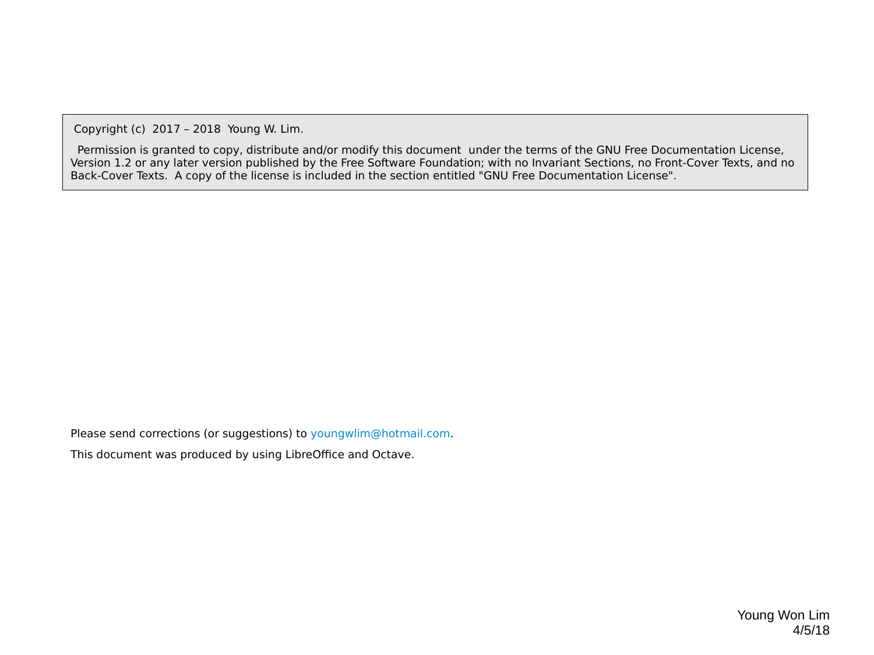Copyright (c) 2017 – 2018 Young W. Lim.

 Permission is granted to copy, distribute and/or modify this document under the terms of the GNU Free Documentation License, Version 1.2 or any later version published by the Free Software Foundation; with no Invariant Sections, no Front-Cover Texts, and no Back-Cover Texts. A copy of the license is included in the section entitled "GNU Free Documentation License".

Please send corrections (or suggestions) to [youngwlim@hotmail.com](mailto:youngwlim@hotmail.com).

This document was produced by using LibreOffice and Octave.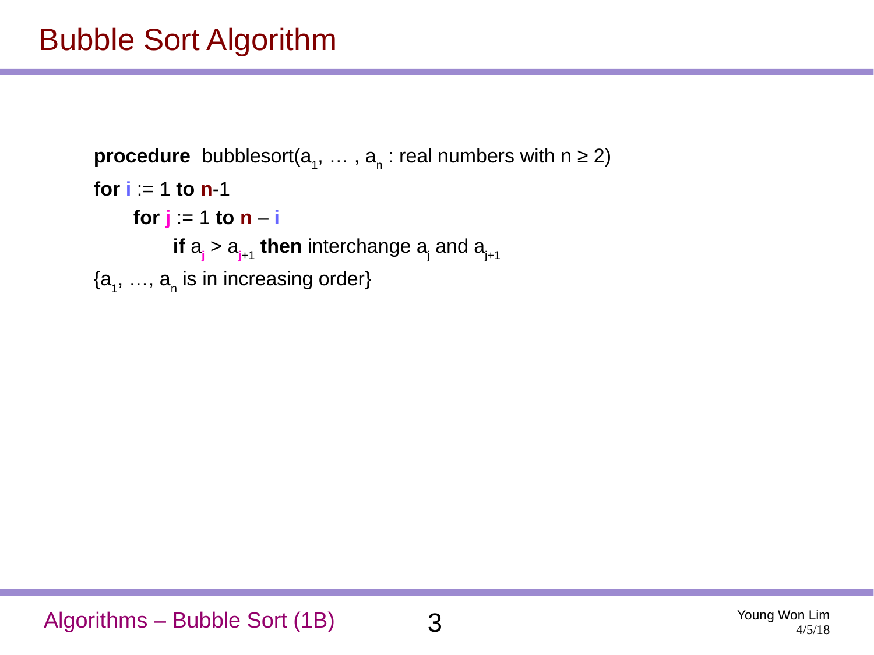```
procedure bubblesort(a_1, \ldots, a_n: real numbers with n \ge 2)
for i := 1 to n-1 <b>or  <b>to 
                      \mathsf{if} \; \mathsf{a} \mathsf{ }_ \mathsf{ s } \mathsf{ a } _{ \mathsf{ j } +1 } then interchange \mathsf{ a } \mathsf{ }_ \mathsf{ i } and \mathsf{ a } \mathsf{ }_{ \mathsf{ j } +1 }{\mathsf{a}_{\scriptscriptstyle 1}, ..., \mathsf{a}_{\scriptscriptstyle \sf n} is in increasing order}
```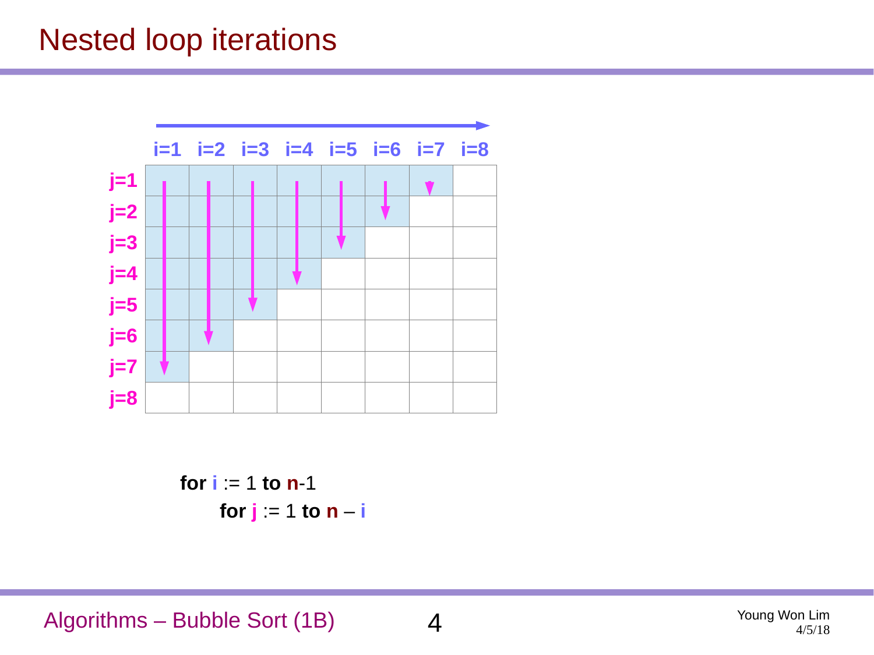#### Nested loop iterations



**for**  $i = 1$  **to**  $n-1$ **for**  $\mathbf{j} := 1$  **to**  $\mathbf{n} - \mathbf{i}$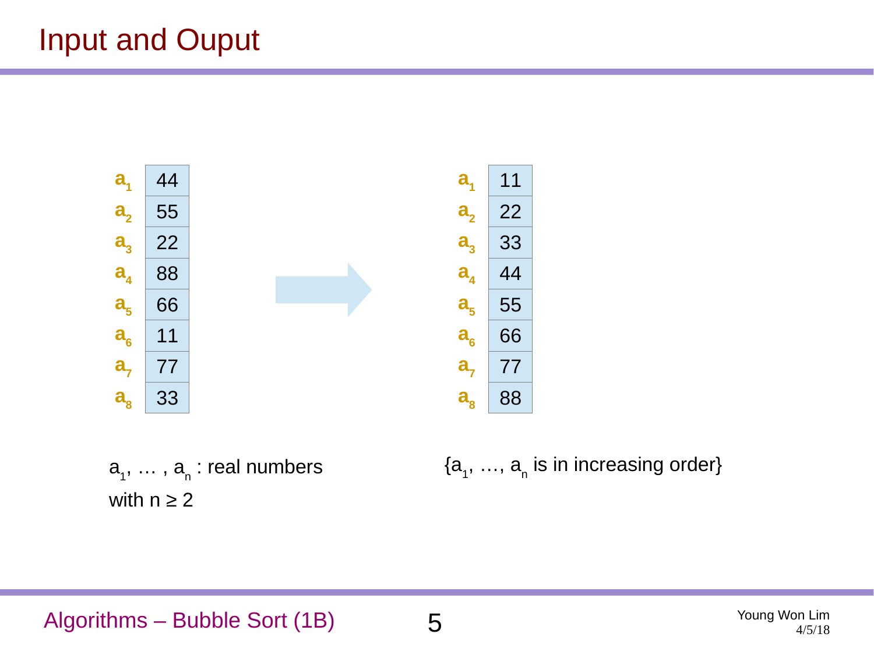## Input and Ouput



 $\mathsf{a}_{\scriptscriptstyle{1}}$ ,  $\dots$  ,  $\mathsf{a}_{\scriptscriptstyle{\mathsf{n}}}$  : real numbers with  $n \geq 2$ 

{ $\mathsf{a}_{\scriptscriptstyle 1}$ , ...,  $\mathsf{a}_{\scriptscriptstyle \sf n}$  is in increasing order}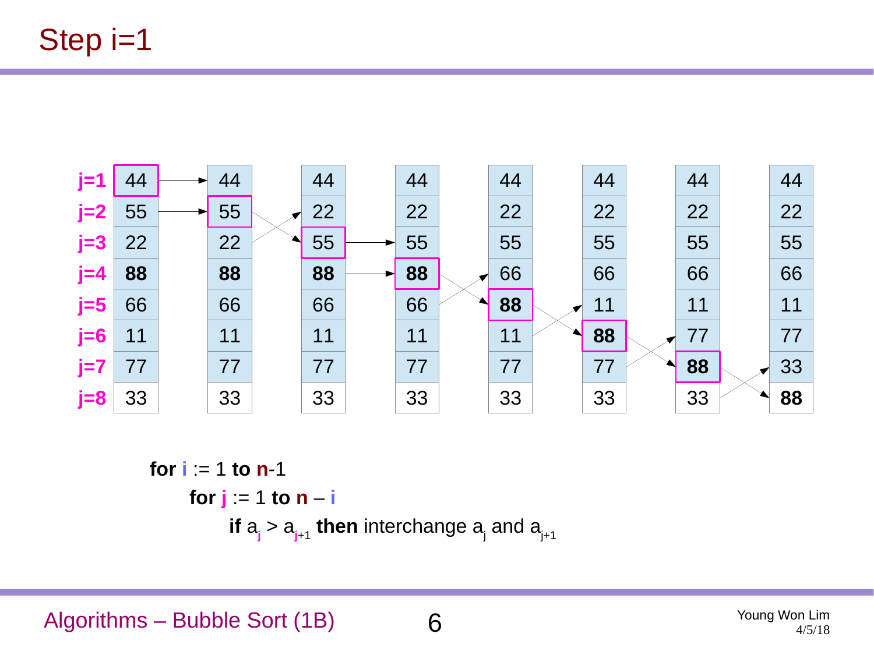

**for**  $\mathbf{i}$  := 1 **to**  $\mathbf{n}$ -1 **for**  $\mathbf{j} = 1$  **to**  $\mathbf{n} - \mathbf{i}$  $\mathbf{i}$ f a $_\mathbf{j}$  >  $\mathbf{a}_{_\mathbf{j+1}}$  **then** interchange  $\mathbf{a}_{_\mathbf{j}}$  and  $\mathbf{a}_{_\mathbf{j+1}}$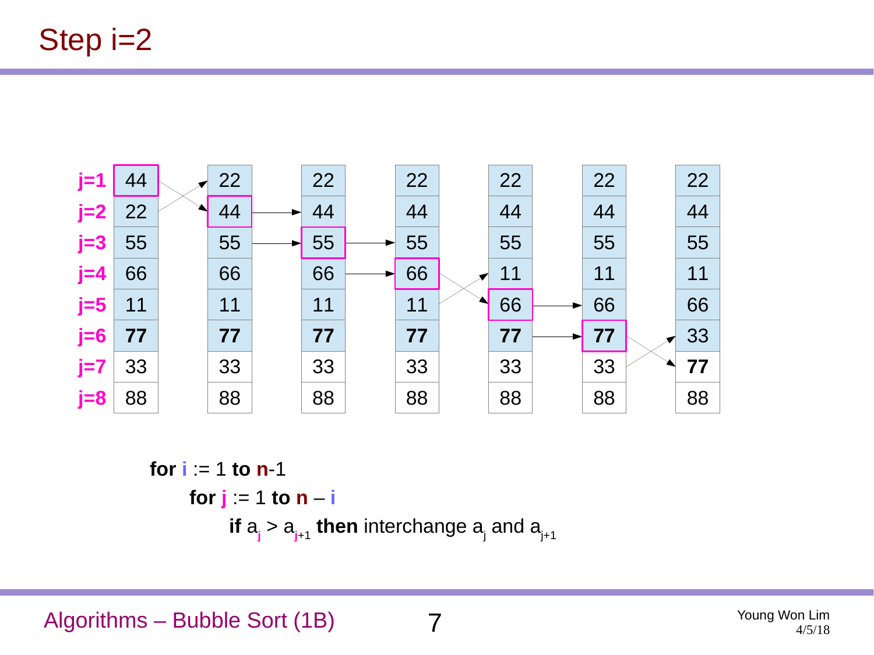

**for**  $\mathbf{i}$  := 1 **to**  $\mathbf{n}$ -1 **for**  $\mathbf{j} = 1$  **to**  $\mathbf{n} - \mathbf{i}$  $\mathbf{i}$ f a $_\mathbf{j}$  >  $\mathbf{a}_{_\mathbf{j+1}}$  **then** interchange  $\mathbf{a}_{_\mathbf{j}}$  and  $\mathbf{a}_{_\mathbf{j+1}}$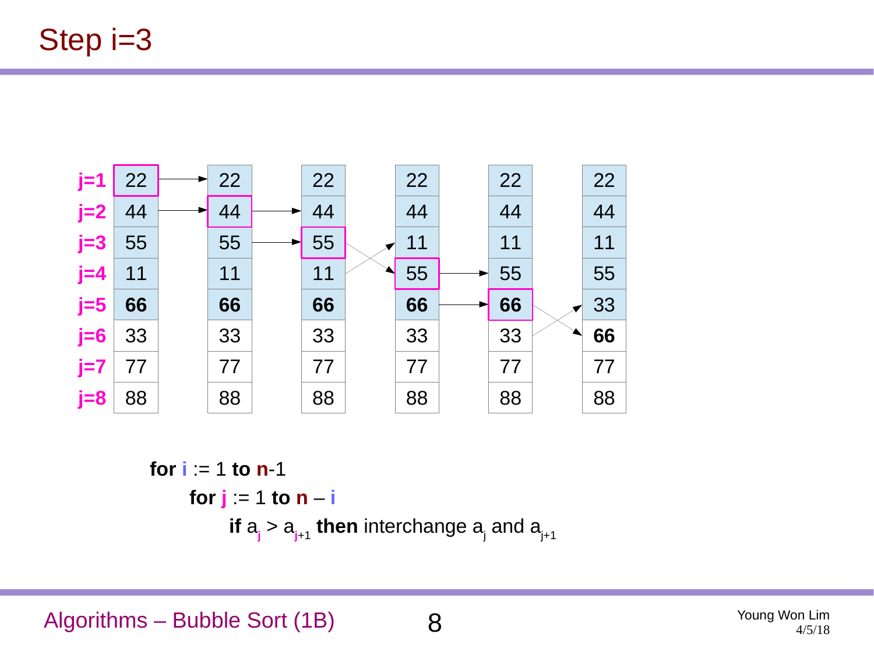

**for**  $\mathbf{i}$  := 1 **to**  $\mathbf{n}$ -1  $$  $\mathbf{i}$ f a $_\mathbf{j}$  >  $\mathbf{a}_{_\mathbf{j+1}}$  **then** interchange  $\mathbf{a}_{_\mathbf{j}}$  and  $\mathbf{a}_{_\mathbf{j+1}}$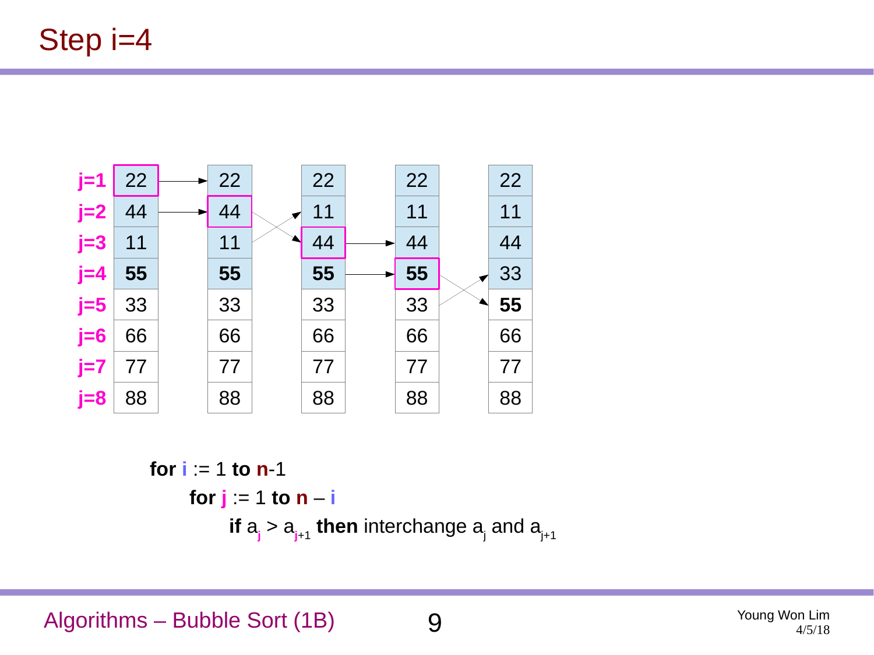

**for**  $i = 1$  **to**  $n-1$ **for**  $\mathbf{j} = 1$  **to**  $\mathbf{n} - \mathbf{i}$  $\mathbf{i}$ f a $_\mathbf{j}$  >  $\mathbf{a}_{_\mathbf{j+1}}$  **then** interchange  $\mathbf{a}_{_\mathbf{j}}$  and  $\mathbf{a}_{_\mathbf{j+1}}$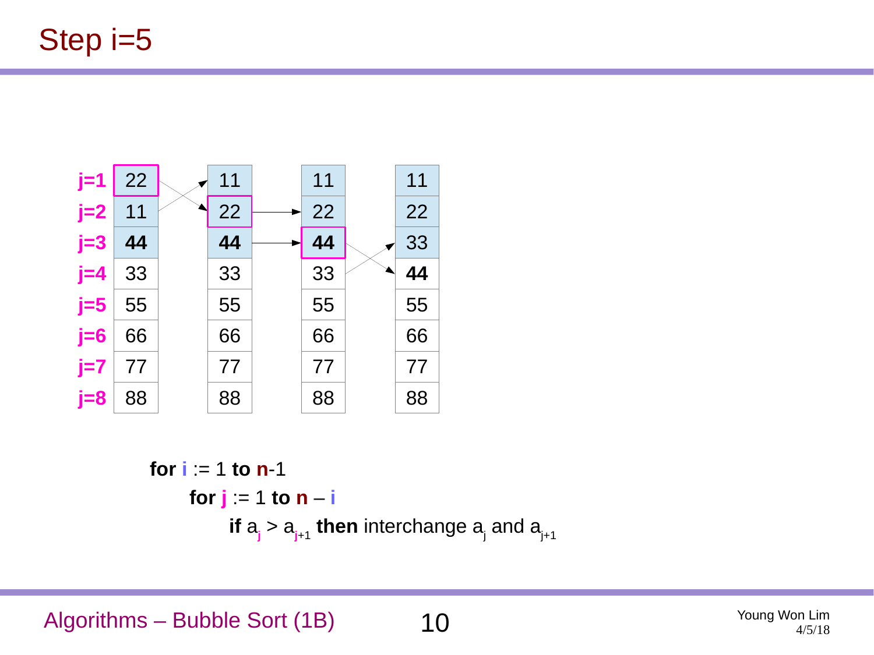

for 
$$
i := 1
$$
 to  $n-1$ 

\nfor  $j := 1$  to  $n - i$ 

\nif  $a_j > a_{j+1}$  then interchange  $a_j$  and  $a_{j+1}$ 

Algorithms – Bubble Sort  $(1B)$  10 Young Won Lim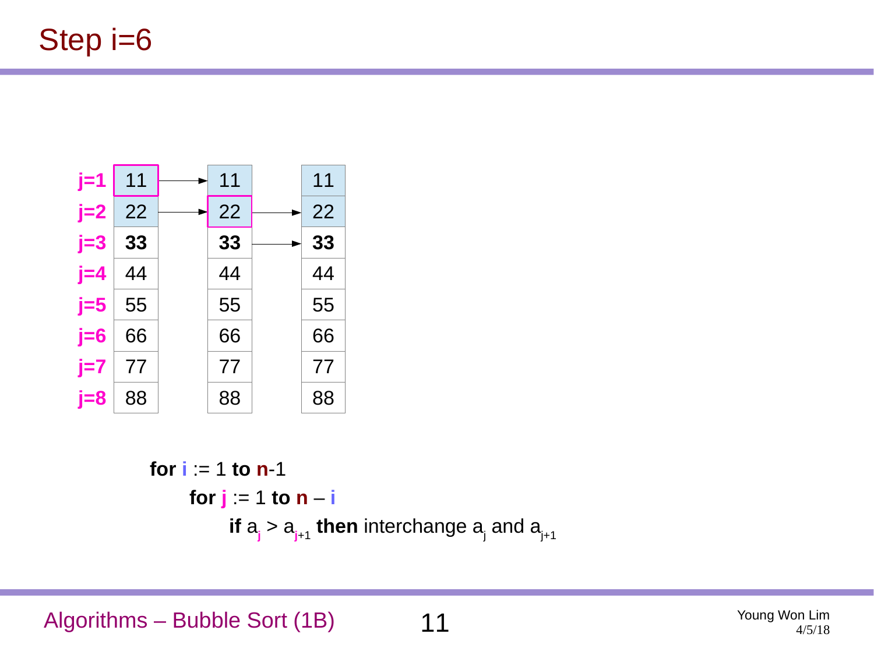

**for i** := 1 **to n**-1 **for**  $\mathbf{j} = 1$  **to**  $\mathbf{n} - \mathbf{i}$  $\mathbf{i}$ f a $_\mathbf{j}$  >  $\mathbf{a}_{_\mathbf{j+1}}$  **then** interchange  $\mathbf{a}_{_\mathbf{j}}$  and  $\mathbf{a}_{_\mathbf{j+1}}$ 

Algorithms – Bubble Sort  $(1B)$  11 Young Won Lim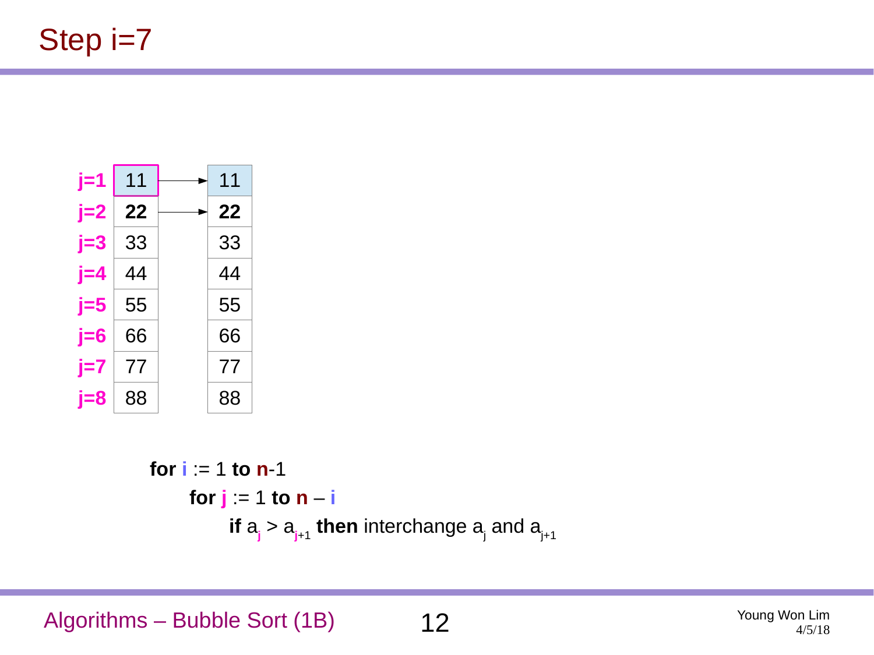

**for i** := 1 **to n**-1 **for**  $\mathbf{j} = 1$  **to**  $\mathbf{n} - \mathbf{i}$  $\mathbf{i}$ f a $_\mathbf{j}$  >  $\mathbf{a}_{_\mathbf{j+1}}$  **then** interchange  $\mathbf{a}_{_\mathbf{j}}$  and  $\mathbf{a}_{_\mathbf{j+1}}$ 

Algorithms – Bubble Sort (1B)  $12$  Young Won Lim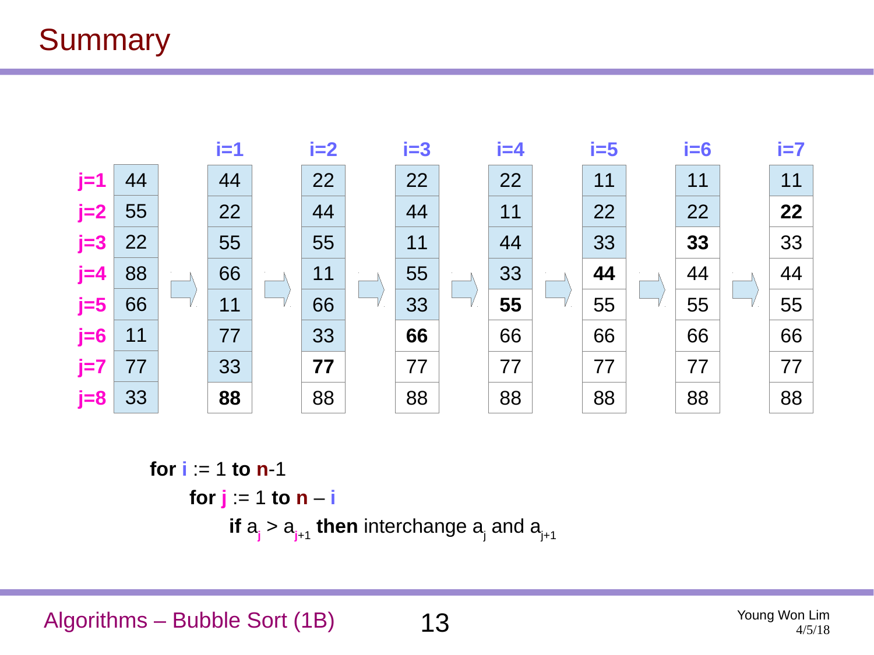## **Summary**



 $$ **for**  $\mathbf{j} = 1$  **to**  $\mathbf{n} - \mathbf{i}$  $\mathbf{i}$ f a $_\mathbf{j}$  >  $\mathbf{a}_{_\mathbf{j+1}}$  **then** interchange  $\mathbf{a}_{_\mathbf{j}}$  and  $\mathbf{a}_{_\mathbf{j+1}}$ 

Algorithms – Bubble Sort (1B) 13 The Material Music Coung Won Lim